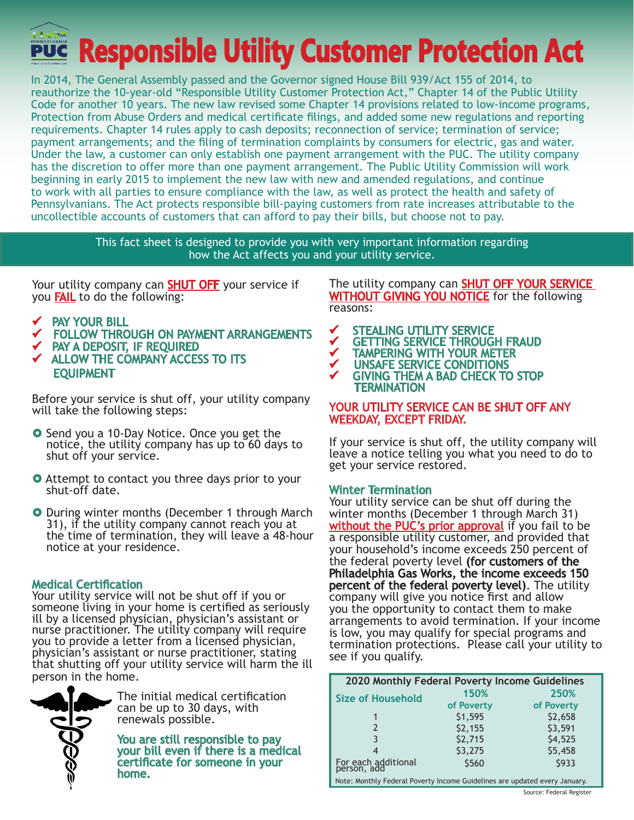**Responsible Utility Customer Protection Act**

In 2014, The General Assembly passed and the Governor signed House Bill 939/Act 155 of 2014, to reauthorize the 10-year-old "Responsible Utility Customer Protection Act," Chapter 14 of the Public Utility Code for another 10 years. The new law revised some Chapter 14 provisions related to low-income programs, Protection from Abuse Orders and medical certificate filings, and added some new regulations and reporting requirements. Chapter 14 rules apply to cash deposits; reconnection of service; termination of service; payment arrangements; and the filing of termination complaints by consumers for electric, gas and water. Under the law, a customer can only establish one payment arrangement with the PUC. The utility company has the discretion to offer more than one payment arrangement. The Public Utility Commission will work beginning in early 2015 to implement the new law with new and amended regulations, and continue to work with all parties to ensure compliance with the law, as well as protect the health and safety of Pennsylvanians. The Act protects responsible bill-paying customers from rate increases attributable to the uncollectible accounts of customers that can afford to pay their bills, but choose not to pay.

> This fact sheet is designed to provide you with very important information regarding how the Act affects you and your utility service.

Your utility company can **SHUT OFF** your service if you FAIL to do the following:

- **V** PAY YOUR BILL<br>V FOLLOW THRC
- FOLLOW THROUGH ON PAYMENT ARRANGEMENTS
- PAY A DEPOSIT, IF REQUIRED
- $\checkmark$  ALLOW THE COMPANY ACCESS TO ITS EQUIPMENT

Before your service is shut off, your utility company will take the following steps:

- **O** Send you a 10-Day Notice. Once you get the notice, the utility company has up to 60 days to shut off your service.
- **O** Attempt to contact you three days prior to your shut-off date.
- **O** During winter months (December 1 through March 31), if the utility company cannot reach you at the time of termination, they will leave a 48-hour notice at your residence.

## Medical Certification

Your utility service will not be shut off if you or someone living in your home is certified as seriously ill by a licensed physician, physician's assistant or nurse practitioner. The utility company will require you to provide a letter from a licensed physician, physician's assistant or nurse practitioner, stating that shutting off your utility service will harm the ill person in the home.



The initial medical certification can be up to 30 days, with renewals possible.

You are still responsible to pay your bill even if there is a medical certificate for someone in your home.

The utility company can **SHUT OFF YOUR SERVICE** WITHOUT GIVING YOU NOTICE for the following reasons:

- √ STEALING UTILITY SERVICE<br>✓ GETTING SERVICE THROUG
- ✔ GETTING SERVICE THROUGH FRAUD<br>✔ TAMPERING WITH YOUR METER
- **VETAMPERING WITH YOUR METER**<br>VE LINSAFF SERVICE CONDITIONS
- UNSAFE SERVICE CONDITIONS

 GIVING THEM A BAD CHECK TO STOP **TERMINATION** 

### YOUR UTILITY SERVICE CAN BE SHUT OFF ANY WEEKDAY, EXCEPT FRIDAY.

If your service is shut off, the utility company will leave a notice telling you what you need to do to get your service restored.

## Winter Termination

Your utility service can be shut off during the winter months (December 1 through March 31) without the PUC's prior approval if you fail to be a responsible utility customer, and provided that your household's income exceeds 250 percent of the federal poverty level (for customers of the Philadelphia Gas Works, the income exceeds 150 percent of the federal poverty level). The utility company will give you notice first and allow you the opportunity to contact them to make arrangements to avoid termination. If your income is low, you may qualify for special programs and termination protections. Please call your utility to see if you qualify.

| 2020 Monthly Federal Poverty Income Guidelines |            |            |  |  |  |  |
|------------------------------------------------|------------|------------|--|--|--|--|
| <b>Size of Household</b>                       | 150%       | 250%       |  |  |  |  |
|                                                | of Poverty | of Poverty |  |  |  |  |
|                                                | \$1,595    | \$2,658    |  |  |  |  |
|                                                | \$2,155    | \$3,591    |  |  |  |  |
|                                                | \$2,715    | \$4,525    |  |  |  |  |
|                                                | \$3,275    | \$5,458    |  |  |  |  |
| For each additional<br>person, add             | \$560      | \$933      |  |  |  |  |

Note: Monthly Federal Poverty Income Guidelines are updated every January.